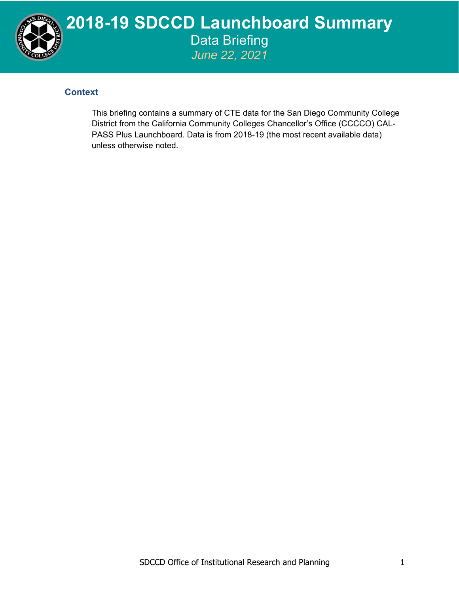

## **2018-19 SDCCD Launchboard Summary**  Data Briefing *June 22, 2021*

## **Context**

This briefing contains a summary of CTE data for the San Diego Community College District from the California Community Colleges Chancellor's Office (CCCCO) CAL-PASS Plus Launchboard. Data is from 2018-19 (the most recent available data) unless otherwise noted.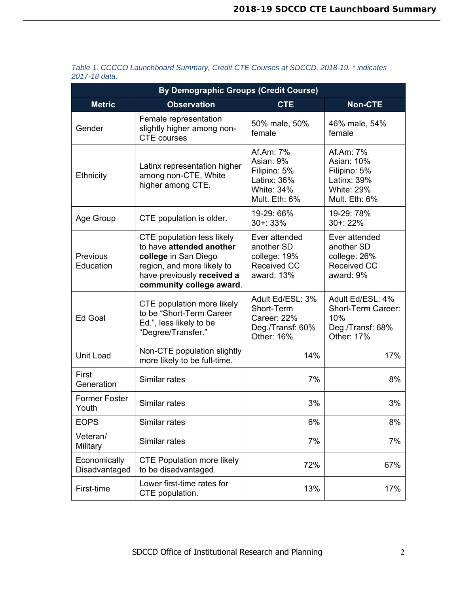| <b>By Demographic Groups (Credit Course)</b> |                                                                                                                                                                               |                                                                                             |                                                                                                     |  |  |
|----------------------------------------------|-------------------------------------------------------------------------------------------------------------------------------------------------------------------------------|---------------------------------------------------------------------------------------------|-----------------------------------------------------------------------------------------------------|--|--|
| <b>Metric</b>                                | <b>Observation</b>                                                                                                                                                            | <b>CTE</b>                                                                                  | <b>Non-CTE</b>                                                                                      |  |  |
| Gender                                       | Female representation<br>slightly higher among non-<br><b>CTE</b> courses                                                                                                     | 50% male, 50%<br>female                                                                     | 46% male, 54%<br>female                                                                             |  |  |
| <b>Ethnicity</b>                             | Latinx representation higher<br>among non-CTE, White<br>higher among CTE.                                                                                                     | Af.Am: 7%<br>Asian: 9%<br>Filipino: 5%<br>Latinx: 36%<br><b>White: 34%</b><br>Mult. Eth: 6% | Af.Am: 7%<br><b>Asian: 10%</b><br>Filipino: 5%<br>Latinx: 39%<br><b>White: 29%</b><br>Mult. Eth: 6% |  |  |
| Age Group                                    | CTE population is older.                                                                                                                                                      | 19-29: 66%<br>$30 + 33%$                                                                    | 19-29: 78%<br>30+: 22%                                                                              |  |  |
| Previous<br>Education                        | <b>CTE population less likely</b><br>to have attended another<br>college in San Diego<br>region, and more likely to<br>have previously received a<br>community college award. | Ever attended<br>another SD<br>college: 19%<br><b>Received CC</b><br>award: 13%             | Ever attended<br>another SD<br>college: 26%<br>Received CC<br>award: 9%                             |  |  |
| Ed Goal                                      | CTE population more likely<br>to be "Short-Term Career<br>Ed.", less likely to be<br>"Degree/Transfer."                                                                       | Adult Ed/ESL: 3%<br>Short-Term<br>Career: 22%<br>Deg./Transf: 60%<br>Other: 16%             | Adult Ed/ESL: 4%<br>Short-Term Career:<br>10%<br>Deg./Transf: 68%<br>Other: 17%                     |  |  |
| <b>Unit Load</b>                             | Non-CTE population slightly<br>more likely to be full-time.                                                                                                                   | 14%                                                                                         | 17%                                                                                                 |  |  |
| First<br>Generation                          | Similar rates                                                                                                                                                                 | 7%                                                                                          | 8%                                                                                                  |  |  |
| <b>Former Foster</b><br>Youth                | Similar rates                                                                                                                                                                 | 3%                                                                                          | 3%                                                                                                  |  |  |
| <b>EOPS</b>                                  | Similar rates                                                                                                                                                                 | 6%                                                                                          | 8%                                                                                                  |  |  |
| Veteran/<br>Military                         | Similar rates                                                                                                                                                                 | 7%                                                                                          | 7%                                                                                                  |  |  |
| Economically<br>Disadvantaged                | <b>CTE Population more likely</b><br>to be disadvantaged.                                                                                                                     | 72%                                                                                         | 67%                                                                                                 |  |  |
| First-time                                   | Lower first-time rates for<br>CTE population.                                                                                                                                 | 13%                                                                                         | 17%                                                                                                 |  |  |

## *Table 1. CCCCO Launchboard Summary, Credit CTE Courses at SDCCD, 2018-19. \* indicates 2017-18 data.*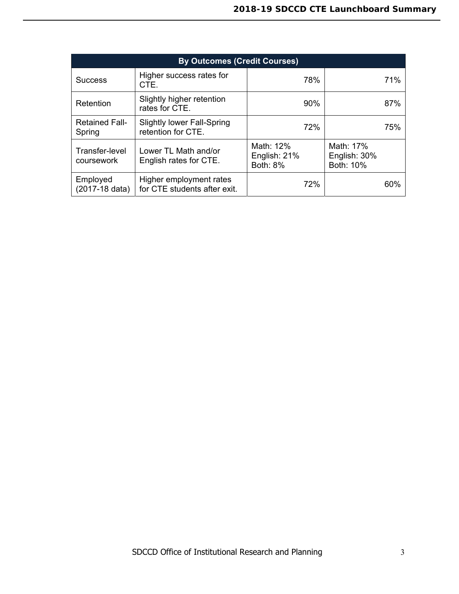| <b>By Outcomes (Credit Courses)</b> |                                                         |                                              |                                        |     |  |  |
|-------------------------------------|---------------------------------------------------------|----------------------------------------------|----------------------------------------|-----|--|--|
| <b>Success</b>                      | Higher success rates for<br>CTE.                        | 78%                                          | 71%                                    |     |  |  |
| Retention                           | Slightly higher retention<br>rates for CTE.             | $90\%$                                       |                                        | 87% |  |  |
| <b>Retained Fall-</b><br>Spring     | <b>Slightly lower Fall-Spring</b><br>retention for CTE. | 72%                                          |                                        | 75% |  |  |
| Transfer-level<br>coursework        | Lower TL Math and/or<br>English rates for CTE.          | Math: 12%<br>English: 21%<br><b>Both: 8%</b> | Math: 17%<br>English: 30%<br>Both: 10% |     |  |  |
| Employed<br>(2017-18 data)          | Higher employment rates<br>for CTE students after exit. | 72%                                          |                                        | 60% |  |  |